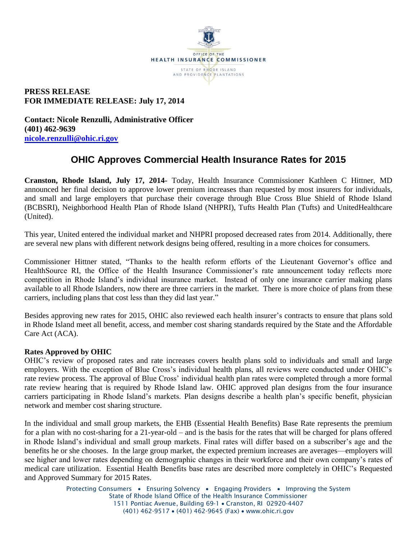

# **PRESS RELEASE FOR IMMEDIATE RELEASE: July 17, 2014**

**Contact: Nicole Renzulli, Administrative Officer (401) 462-9639 [nicole.renzulli@ohic.ri.gov](mailto:nicole.renzulli@ohic.ri.gov)**

# **OHIC Approves Commercial Health Insurance Rates for 2015**

**Cranston, Rhode Island, July 17, 2014-** Today, Health Insurance Commissioner Kathleen C Hittner, MD announced her final decision to approve lower premium increases than requested by most insurers for individuals, and small and large employers that purchase their coverage through Blue Cross Blue Shield of Rhode Island (BCBSRI), Neighborhood Health Plan of Rhode Island (NHPRI), Tufts Health Plan (Tufts) and UnitedHealthcare (United).

This year, United entered the individual market and NHPRI proposed decreased rates from 2014. Additionally, there are several new plans with different network designs being offered, resulting in a more choices for consumers.

Commissioner Hittner stated, "Thanks to the health reform efforts of the Lieutenant Governor's office and HealthSource RI, the Office of the Health Insurance Commissioner's rate announcement today reflects more competition in Rhode Island's individual insurance market. Instead of only one insurance carrier making plans available to all Rhode Islanders, now there are three carriers in the market. There is more choice of plans from these carriers, including plans that cost less than they did last year."

Besides approving new rates for 2015, OHIC also reviewed each health insurer's contracts to ensure that plans sold in Rhode Island meet all benefit, access, and member cost sharing standards required by the State and the Affordable Care Act (ACA).

### **Rates Approved by OHIC**

OHIC's review of proposed rates and rate increases covers health plans sold to individuals and small and large employers. With the exception of Blue Cross's individual health plans, all reviews were conducted under OHIC's rate review process. The approval of Blue Cross' individual health plan rates were completed through a more formal rate review hearing that is required by Rhode Island law. OHIC approved plan designs from the four insurance carriers participating in Rhode Island's markets. Plan designs describe a health plan's specific benefit, physician network and member cost sharing structure.

In the individual and small group markets, the EHB (Essential Health Benefits) Base Rate represents the premium for a plan with no cost-sharing for a 21-year-old – and is the basis for the rates that will be charged for plans offered in Rhode Island's individual and small group markets. Final rates will differ based on a subscriber's age and the benefits he or she chooses. In the large group market, the expected premium increases are averages—employers will see higher and lower rates depending on demographic changes in their workforce and their own company's rates of medical care utilization. Essential Health Benefits base rates are described more completely in OHIC's Requested and Approved Summary for 2015 Rates.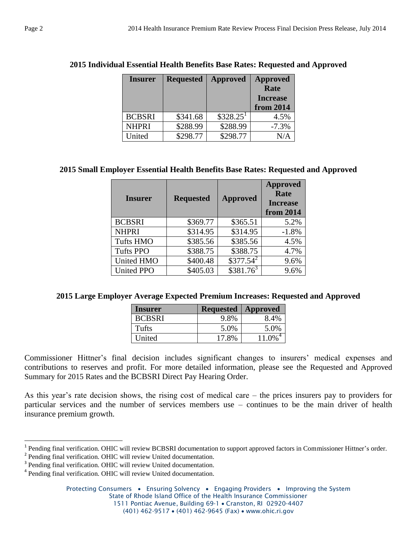| <b>Insurer</b> | <b>Requested</b> | <b>Approved</b>        | <b>Approved</b><br>Rate<br><b>Increase</b> |
|----------------|------------------|------------------------|--------------------------------------------|
| <b>BCBSRI</b>  | \$341.68         | $$328.25$ <sup>1</sup> | from 2014<br>4.5%                          |
| <b>NHPRI</b>   | \$288.99         | \$288.99               | $-7.3%$                                    |
| United         | \$298.77         | \$298.77               | N/A                                        |

## **2015 Individual Essential Health Benefits Base Rates: Requested and Approved**

# **2015 Small Employer Essential Health Benefits Base Rates: Requested and Approved**

| <b>Insurer</b>    | <b>Requested</b> | <b>Approved</b> | <b>Approved</b><br>Rate<br><b>Increase</b><br>from 2014 |
|-------------------|------------------|-----------------|---------------------------------------------------------|
| <b>BCBSRI</b>     | \$369.77         | \$365.51        | 5.2%                                                    |
| <b>NHPRI</b>      | \$314.95         | \$314.95        | $-1.8%$                                                 |
| <b>Tufts HMO</b>  | \$385.56         | \$385.56        | 4.5%                                                    |
| <b>Tufts PPO</b>  | \$388.75         | \$388.75        | 4.7%                                                    |
| <b>United HMO</b> | \$400.48         | $$377.54^2$     | 9.6%                                                    |
| <b>United PPO</b> | \$405.03         | $$381.76^3$     | 9.6%                                                    |

### **2015 Large Employer Average Expected Premium Increases: Requested and Approved**

| Insurer       | <b>Requested</b> | <b>Approved</b> |
|---------------|------------------|-----------------|
| <b>BCBSRI</b> | 9.8%             | 8.4%            |
| Tufts         | 5.0%             | 5.0%            |
| United        | 17.8%            | 11.0%           |

Commissioner Hittner's final decision includes significant changes to insurers' medical expenses and contributions to reserves and profit. For more detailed information, please see the Requested and Approved Summary for 2015 Rates and the BCBSRI Direct Pay Hearing Order.

As this year's rate decision shows, the rising cost of medical care – the prices insurers pay to providers for particular services and the number of services members use – continues to be the main driver of health insurance premium growth.

l

<sup>&</sup>lt;sup>1</sup> Pending final verification. OHIC will review BCBSRI documentation to support approved factors in Commissioner Hittner's order.

<sup>&</sup>lt;sup>2</sup> Pending final verification. OHIC will review United documentation.

<sup>&</sup>lt;sup>3</sup> Pending final verification. OHIC will review United documentation.

<sup>&</sup>lt;sup>4</sup> Pending final verification. OHIC will review United documentation.